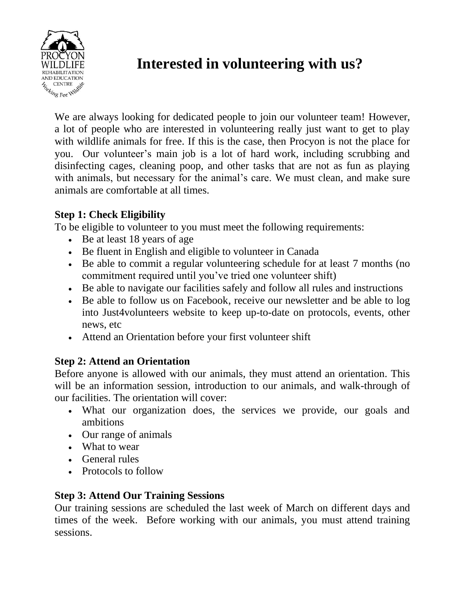

# **Interested in volunteering with us?**

We are always looking for dedicated people to join our volunteer team! However, a lot of people who are interested in volunteering really just want to get to play with wildlife animals for free. If this is the case, then Procyon is not the place for you. Our volunteer's main job is a lot of hard work, including scrubbing and disinfecting cages, cleaning poop, and other tasks that are not as fun as playing with animals, but necessary for the animal's care. We must clean, and make sure animals are comfortable at all times.

## **Step 1: Check Eligibility**

To be eligible to volunteer to you must meet the following requirements:

- Be at least 18 years of age
- Be fluent in English and eligible to volunteer in Canada
- Be able to commit a regular volunteering schedule for at least 7 months (no commitment required until you've tried one volunteer shift)
- Be able to navigate our facilities safely and follow all rules and instructions
- Be able to follow us on Facebook, receive our newsletter and be able to log into Just4volunteers website to keep up-to-date on protocols, events, other news, etc
- Attend an Orientation before your first volunteer shift

### **Step 2: Attend an Orientation**

Before anyone is allowed with our animals, they must attend an orientation. This will be an information session, introduction to our animals, and walk-through of our facilities. The orientation will cover:

- What our organization does, the services we provide, our goals and ambitions
- Our range of animals
- What to wear
- General rules
- Protocols to follow

### **Step 3: Attend Our Training Sessions**

Our training sessions are scheduled the last week of March on different days and times of the week. Before working with our animals, you must attend training sessions.